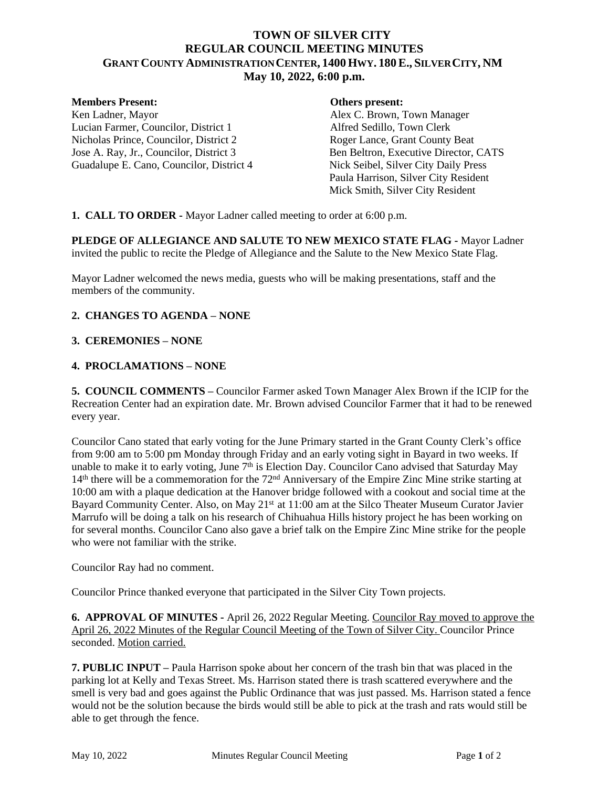# **TOWN OF SILVER CITY REGULAR COUNCIL MEETING MINUTES GRANT COUNTY ADMINISTRATION CENTER, 1400 HWY. 180E., SILVER CITY, NM May 10, 2022, 6:00 p.m.**

#### **Members Present: Others present:**

Lucian Farmer, Councilor, District 1 Alfred Sedillo, Town Clerk<br>Nicholas Prince, Councilor, District 2 Roger Lance, Grant County Beat Nicholas Prince, Councilor, District 2 Jose A. Ray, Jr., Councilor, District 3<br>
Guadalupe E. Cano, Councilor, District 4<br>
Nick Seibel, Silver City Daily Press Guadalupe E. Cano, Councilor, District 4

Ken Ladner, Mayor Alex C. Brown, Town Manager Paula Harrison, Silver City Resident Mick Smith, Silver City Resident

**1. CALL TO ORDER -** Mayor Ladner called meeting to order at 6:00 p.m.

**PLEDGE OF ALLEGIANCE AND SALUTE TO NEW MEXICO STATE FLAG -** Mayor Ladner invited the public to recite the Pledge of Allegiance and the Salute to the New Mexico State Flag.

Mayor Ladner welcomed the news media, guests who will be making presentations, staff and the members of the community.

### **2. CHANGES TO AGENDA – NONE**

### **3. CEREMONIES – NONE**

### **4. PROCLAMATIONS – NONE**

**5. COUNCIL COMMENTS –** Councilor Farmer asked Town Manager Alex Brown if the ICIP for the Recreation Center had an expiration date. Mr. Brown advised Councilor Farmer that it had to be renewed every year.

Councilor Cano stated that early voting for the June Primary started in the Grant County Clerk's office from 9:00 am to 5:00 pm Monday through Friday and an early voting sight in Bayard in two weeks. If unable to make it to early voting, June  $7<sup>th</sup>$  is Election Day. Councilor Cano advised that Saturday May 14th there will be a commemoration for the 72nd Anniversary of the Empire Zinc Mine strike starting at 10:00 am with a plaque dedication at the Hanover bridge followed with a cookout and social time at the Bayard Community Center. Also, on May 21<sup>st</sup> at 11:00 am at the Silco Theater Museum Curator Javier Marrufo will be doing a talk on his research of Chihuahua Hills history project he has been working on for several months. Councilor Cano also gave a brief talk on the Empire Zinc Mine strike for the people who were not familiar with the strike.

Councilor Ray had no comment.

Councilor Prince thanked everyone that participated in the Silver City Town projects.

**6. APPROVAL OF MINUTES -** April 26, 2022 Regular Meeting. Councilor Ray moved to approve the April 26, 2022 Minutes of the Regular Council Meeting of the Town of Silver City. Councilor Prince seconded. Motion carried.

**7. PUBLIC INPUT –** Paula Harrison spoke about her concern of the trash bin that was placed in the parking lot at Kelly and Texas Street. Ms. Harrison stated there is trash scattered everywhere and the smell is very bad and goes against the Public Ordinance that was just passed. Ms. Harrison stated a fence would not be the solution because the birds would still be able to pick at the trash and rats would still be able to get through the fence.